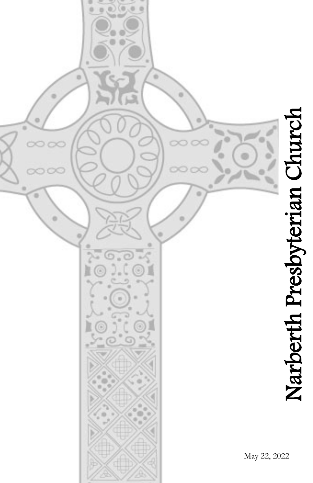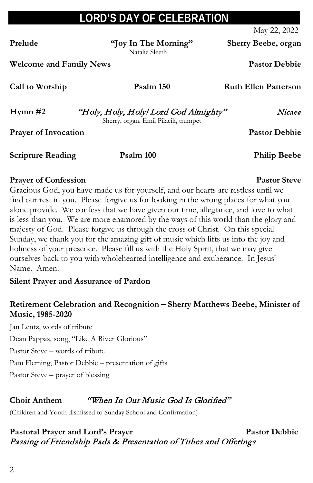## **LORD'S DAY OF CELEBRATION**

May 22, 2022

**Prelude "Joy In The Morning" Sherry Beebe, organ**

**Welcome and Family News Pastor Debbie**

**Call to Worship Psalm 150 Ruth Ellen Patterson** 

**Hymn #2** "Holy, Holy, Holy! Lord God Almighty" Nicaea

Sherry, organ, Emil Pilacik, trumpet

**Prayer of Invocation Pastor Debbie** 

**Scripture Reading Psalm 100 Philip Beebe**

#### **Prayer of Confession Pastor Steve**

Gracious God, you have made us for yourself, and our hearts are restless until we find our rest in you. Please forgive us for looking in the wrong places for what you alone provide. We confess that we have given our time, allegiance, and love to what is less than you. We are more enamored by the ways of this world than the glory and majesty of God. Please forgive us through the cross of Christ. On this special Sunday, we thank you for the amazing gift of music which lifts us into the joy and holiness of your presence. Please fill us with the Holy Spirit, that we may give ourselves back to you with wholehearted intelligence and exuberance. In Jesus' Name. Amen.

#### **Silent Prayer and Assurance of Pardon**

#### **Retirement Celebration and Recognition – Sherry Matthews Beebe, Minister of Music, 1985-2020**

Jan Lentz, words of tribute Dean Pappas, song, "Like A River Glorious" Pastor Steve – words of tribute Pam Fleming, Pastor Debbie – presentation of gifts Pastor Steve – prayer of blessing

### **Choir Anthem** "When In Our Music God Is Glorified"

(Children and Youth dismissed to Sunday School and Confirmation)

#### Pastoral Prayer and Lord's Prayer **Pastor Debbie** Passing of Friendship Pads & Presentation of Tithes and Offerings

Natalie Sleeth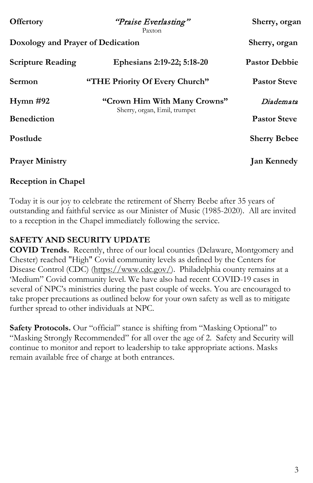| <b>Offertory</b>                  | "Praise Everlasting"<br>Paxton                               | Sherry, organ        |
|-----------------------------------|--------------------------------------------------------------|----------------------|
| Doxology and Prayer of Dedication | Sherry, organ                                                |                      |
| <b>Scripture Reading</b>          | Ephesians 2:19-22; 5:18-20                                   | <b>Pastor Debbie</b> |
| Sermon                            | "THE Priority Of Every Church"                               | <b>Pastor Steve</b>  |
| Hymn #92                          | "Crown Him With Many Crowns"<br>Sherry, organ, Emil, trumpet | Diademata            |
| <b>Benediction</b>                |                                                              | <b>Pastor Steve</b>  |
| Postlude                          |                                                              | <b>Sherry Bebee</b>  |
| <b>Prayer Ministry</b>            |                                                              | <b>Jan Kennedy</b>   |

#### **Reception in Chapel**

Today it is our joy to celebrate the retirement of Sherry Beebe after 35 years of outstanding and faithful service as our Minister of Music (1985-2020). All are invited to a reception in the Chapel immediately following the service.

#### **SAFETY AND SECURITY UPDATE**

**COVID Trends.** Recently, three of our local counties (Delaware, Montgomery and Chester) reached "High" Covid community levels as defined by the Centers for Disease Control (CDC) [\(https://www.cdc.gov/\)](https://www.cdc.gov/). Philadelphia county remains at a 'Medium" Covid community level. We have also had recent COVID-19 cases in several of NPC's ministries during the past couple of weeks. You are encouraged to take proper precautions as outlined below for your own safety as well as to mitigate further spread to other individuals at NPC.

**Safety Protocols.** Our "official" stance is shifting from "Masking Optional" to "Masking Strongly Recommended" for all over the age of 2. Safety and Security will continue to monitor and report to leadership to take appropriate actions. Masks remain available free of charge at both entrances.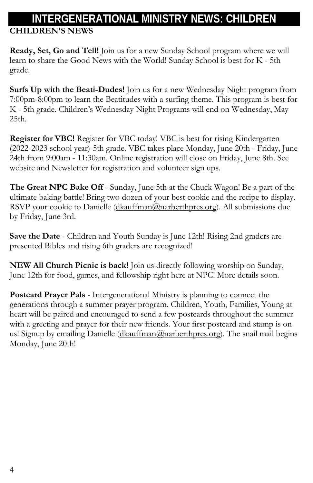# **INTERGENERATIONAL MINISTRY NEWS: CHILDREN**

**CHILDREN'S NEWS**

**Ready, Set, Go and Tell!** Join us for a new Sunday School program where we will learn to share the Good News with the World! Sunday School is best for K - 5th grade.

**Surfs Up with the Beati-Dudes!** Join us for a new Wednesday Night program from 7:00pm-8:00pm to learn the Beatitudes with a surfing theme. This program is best for K - 5th grade. Children's Wednesday Night Programs will end on Wednesday, May 25th.

**Register for VBC!** Register for VBC today! VBC is best for rising Kindergarten (2022-2023 school year)-5th grade. VBC takes place Monday, June 20th - Friday, June 24th from 9:00am - 11:30am. Online registration will close on Friday, June 8th. See website and Newsletter for registration and volunteer sign ups.

**The Great NPC Bake Off** - Sunday, June 5th at the Chuck Wagon! Be a part of the ultimate baking battle! Bring two dozen of your best cookie and the recipe to display. RSVP your cookie to Danielle [\(dkauffman@narberthpres.org\)](mailto:dkauffman@narberthpres.org). All submissions due by Friday, June 3rd.

**Save the Date** - Children and Youth Sunday is June 12th! Rising 2nd graders are presented Bibles and rising 6th graders are recognized!

**NEW All Church Picnic is back!** Join us directly following worship on Sunday, June 12th for food, games, and fellowship right here at NPC! More details soon.

**Postcard Prayer Pals** - Intergenerational Ministry is planning to connect the generations through a summer prayer program. Children, Youth, Families, Young at heart will be paired and encouraged to send a few postcards throughout the summer with a greeting and prayer for their new friends. Your first postcard and stamp is on us! Signup by emailing Danielle [\(dkauffman@narberthpres.org\)](mailto:dkauffman@narberthpres.org). The snail mail begins Monday, June 20th!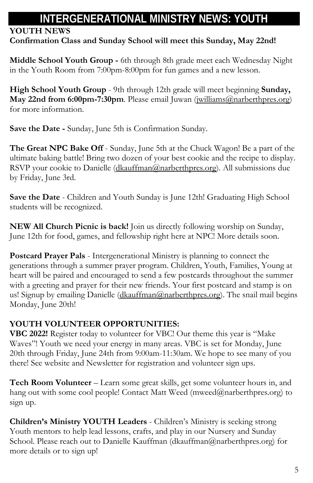## **INTERGENERATIONAL MINISTRY NEWS: YOUTH**

### **YOUTH NEWS**

**Confirmation Class and Sunday School will meet this Sunday, May 22nd!**

**Middle School Youth Group -** 6th through 8th grade meet each Wednesday Night in the Youth Room from 7:00pm-8:00pm for fun games and a new lesson.

**High School Youth Group** - 9th through 12th grade will meet beginning **Sunday, May 22nd from 6:00pm-7:30pm**. Please email Juwan [\(jwilliams@narberthpres.org\)](mailto:jwilliams@narberthpres.org) for more information.

**Save the Date -** Sunday, June 5th is Confirmation Sunday.

**The Great NPC Bake Off** - Sunday, June 5th at the Chuck Wagon! Be a part of the ultimate baking battle! Bring two dozen of your best cookie and the recipe to display. RSVP your cookie to Danielle [\(dkauffman@narberthpres.org\)](mailto:dkauffman@narberthpres.org). All submissions due by Friday, June 3rd.

**Save the Date** - Children and Youth Sunday is June 12th! Graduating High School students will be recognized.

**NEW All Church Picnic is back!** Join us directly following worship on Sunday, June 12th for food, games, and fellowship right here at NPC! More details soon.

**Postcard Prayer Pals** - Intergenerational Ministry is planning to connect the generations through a summer prayer program. Children, Youth, Families, Young at heart will be paired and encouraged to send a few postcards throughout the summer with a greeting and prayer for their new friends. Your first postcard and stamp is on us! Signup by emailing Danielle [\(dkauffman@narberthpres.org\)](mailto:dkauffman@narberthpres.org). The snail mail begins Monday, June 20th!

### **YOUTH VOLUNTEER OPPORTUNITIES:**

**VBC 2022!** Register today to volunteer for VBC! Our theme this year is "Make Waves"! Youth we need your energy in many areas. VBC is set for Monday, June 20th through Friday, June 24th from 9:00am-11:30am. We hope to see many of you there! See website and Newsletter for registration and volunteer sign ups.

**Tech Room Volunteer** – Learn some great skills, get some volunteer hours in, and hang out with some cool people! Contact Matt Weed (mweed@narberthpres.org) to sign up.

**Children's Ministry YOUTH Leaders** - Children's Ministry is seeking strong Youth mentors to help lead lessons, crafts, and play in our Nursery and Sunday School. Please reach out to Danielle Kauffman (dkauffman@narberthpres.org) for more details or to sign up!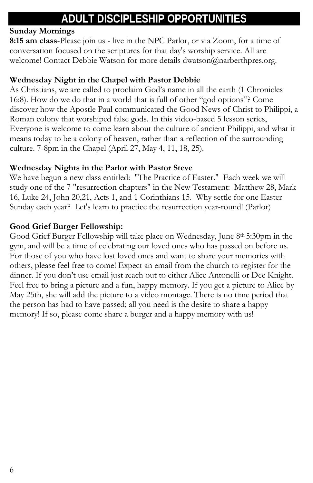## **ADULT DISCIPLESHIP OPPORTUNITIES**

#### **Sunday Mornings**

**8:15 am class**-Please join us - live in the NPC Parlor, or via Zoom, for a time of conversation focused on the scriptures for that day's worship service. All are welcome! Contact Debbie Watson for more details dwatson@narberthpres.org.

#### **Wednesday Night in the Chapel with Pastor Debbie**

As Christians, we are called to proclaim God's name in all the earth (1 Chronicles 16:8). How do we do that in a world that is full of other "god options"? Come discover how the Apostle Paul communicated the Good News of Christ to Philippi, a Roman colony that worshiped false gods. In this video-based 5 lesson series, Everyone is welcome to come learn about the culture of ancient Philippi, and what it means today to be a colony of heaven, rather than a reflection of the surrounding culture. 7-8pm in the Chapel (April 27, May 4, 11, 18, 25).

#### **Wednesday Nights in the Parlor with Pastor Steve**

We have begun a new class entitled: "The Practice of Easter." Each week we will study one of the 7 "resurrection chapters" in the New Testament: Matthew 28, Mark 16, Luke 24, John 20,21, Acts 1, and 1 Corinthians 15. Why settle for one Easter Sunday each year? Let's learn to practice the resurrection year-round! (Parlor)

#### **Good Grief Burger Fellowship:**

Good Grief Burger Fellowship will take place on Wednesday, June 8th 5:30pm in the gym, and will be a time of celebrating our loved ones who has passed on before us. For those of you who have lost loved ones and want to share your memories with others, please feel free to come! Expect an email from the church to register for the dinner. If you don't use email just reach out to either Alice Antonelli or Dee Knight. Feel free to bring a picture and a fun, happy memory. If you get a picture to Alice by May 25th, she will add the picture to a video montage. There is no time period that the person has had to have passed; all you need is the desire to share a happy memory! If so, please come share a burger and a happy memory with us!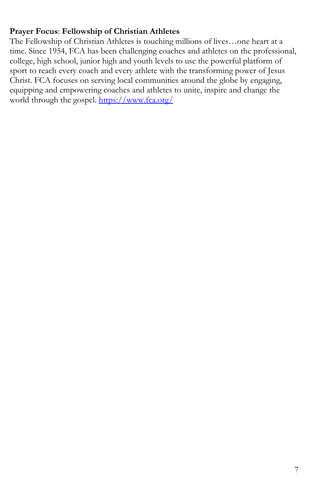#### **Prayer Focus**: **Fellowship of Christian Athletes**

The Fellowship of Christian Athletes is touching millions of lives…one heart at a time. Since 1954, FCA has been challenging coaches and athletes on the professional, college, high school, junior high and youth levels to use the powerful platform of sport to reach every coach and every athlete with the transforming power of Jesus Christ. FCA focuses on serving local communities around the globe by engaging, equipping and empowering coaches and athletes to unite, inspire and change the world through the gospel. <https://www.fca.org/>